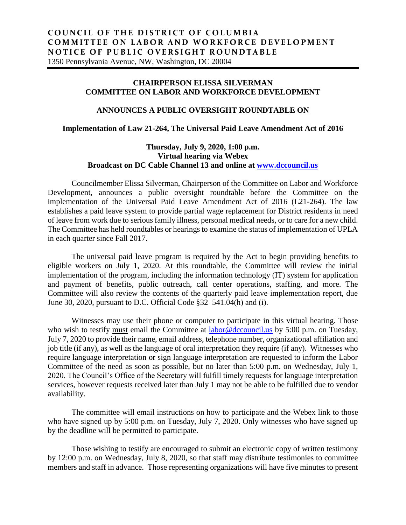## **CHAIRPERSON ELISSA SILVERMAN COMMITTEE ON LABOR AND WORKFORCE DEVELOPMENT**

## **ANNOUNCES A PUBLIC OVERSIGHT ROUNDTABLE ON**

## **Implementation of Law 21-264, The Universal Paid Leave Amendment Act of 2016**

## **Thursday, July 9, 2020, 1:00 p.m. Virtual hearing via Webex Broadcast on DC Cable Channel 13 and online at [www.dccouncil.us](http://www.dccouncil.us/)**

Councilmember Elissa Silverman, Chairperson of the Committee on Labor and Workforce Development, announces a public oversight roundtable before the Committee on the implementation of the Universal Paid Leave Amendment Act of 2016 (L21-264). The law establishes a paid leave system to provide partial wage replacement for District residents in need of leave from work due to serious family illness, personal medical needs, or to care for a new child. The Committee has held roundtables or hearings to examine the status of implementation of UPLA in each quarter since Fall 2017.

The universal paid leave program is required by the Act to begin providing benefits to eligible workers on July 1, 2020. At this roundtable, the Committee will review the initial implementation of the program, including the information technology (IT) system for application and payment of benefits, public outreach, call center operations, staffing, and more. The Committee will also review the contents of the quarterly paid leave implementation report, due June 30, 2020, pursuant to D.C. Official Code §32–541.04(h) and (i).

Witnesses may use their phone or computer to participate in this virtual hearing. Those who wish to testify must email the Committee at [labor@dccouncil.us](mailto:labor@dccouncil.us) by 5:00 p.m. on Tuesday, July 7, 2020 to provide their name, email address, telephone number, organizational affiliation and job title (if any), as well as the language of oral interpretation they require (if any). Witnesses who require language interpretation or sign language interpretation are requested to inform the Labor Committee of the need as soon as possible, but no later than 5:00 p.m. on Wednesday, July 1, 2020. The Council's Office of the Secretary will fulfill timely requests for language interpretation services, however requests received later than July 1 may not be able to be fulfilled due to vendor availability.

The committee will email instructions on how to participate and the Webex link to those who have signed up by 5:00 p.m. on Tuesday, July 7, 2020. Only witnesses who have signed up by the deadline will be permitted to participate.

Those wishing to testify are encouraged to submit an electronic copy of written testimony by 12:00 p.m. on Wednesday, July 8, 2020, so that staff may distribute testimonies to committee members and staff in advance. Those representing organizations will have five minutes to present